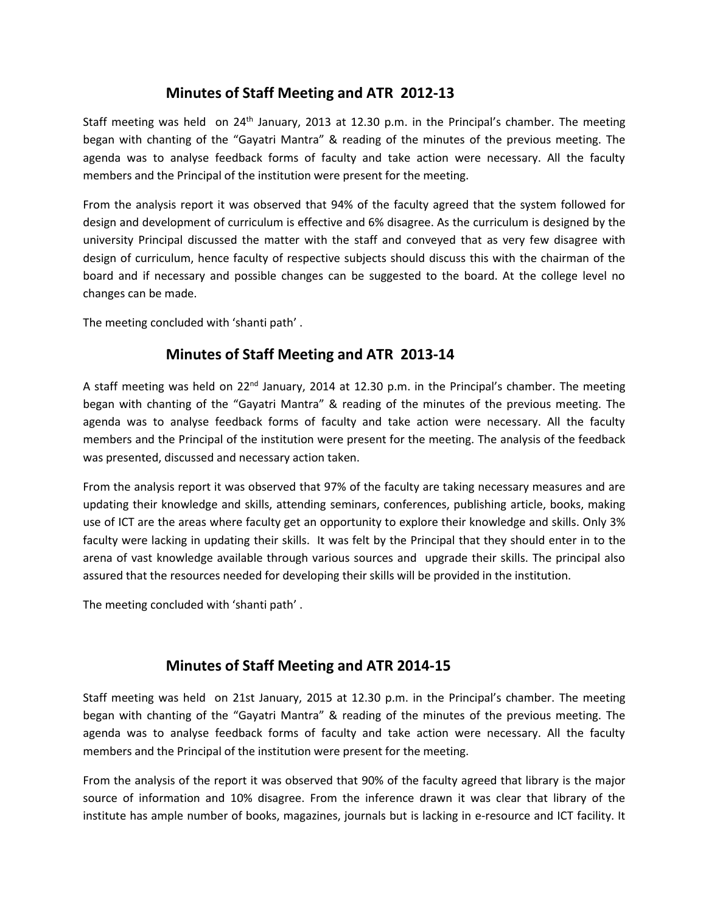# **Minutes of Staff Meeting and ATR 2012-13**

Staff meeting was held on 24<sup>th</sup> January, 2013 at 12.30 p.m. in the Principal's chamber. The meeting began with chanting of the "Gayatri Mantra" & reading of the minutes of the previous meeting. The agenda was to analyse feedback forms of faculty and take action were necessary. All the faculty members and the Principal of the institution were present for the meeting.

From the analysis report it was observed that 94% of the faculty agreed that the system followed for design and development of curriculum is effective and 6% disagree. As the curriculum is designed by the university Principal discussed the matter with the staff and conveyed that as very few disagree with design of curriculum, hence faculty of respective subjects should discuss this with the chairman of the board and if necessary and possible changes can be suggested to the board. At the college level no changes can be made.

The meeting concluded with 'shanti path' .

# **Minutes of Staff Meeting and ATR 2013-14**

A staff meeting was held on 22<sup>nd</sup> January, 2014 at 12.30 p.m. in the Principal's chamber. The meeting began with chanting of the "Gayatri Mantra" & reading of the minutes of the previous meeting. The agenda was to analyse feedback forms of faculty and take action were necessary. All the faculty members and the Principal of the institution were present for the meeting. The analysis of the feedback was presented, discussed and necessary action taken.

From the analysis report it was observed that 97% of the faculty are taking necessary measures and are updating their knowledge and skills, attending seminars, conferences, publishing article, books, making use of ICT are the areas where faculty get an opportunity to explore their knowledge and skills. Only 3% faculty were lacking in updating their skills. It was felt by the Principal that they should enter in to the arena of vast knowledge available through various sources and upgrade their skills. The principal also assured that the resources needed for developing their skills will be provided in the institution.

The meeting concluded with 'shanti path' .

## **Minutes of Staff Meeting and ATR 2014-15**

Staff meeting was held on 21st January, 2015 at 12.30 p.m. in the Principal's chamber. The meeting began with chanting of the "Gayatri Mantra" & reading of the minutes of the previous meeting. The agenda was to analyse feedback forms of faculty and take action were necessary. All the faculty members and the Principal of the institution were present for the meeting.

From the analysis of the report it was observed that 90% of the faculty agreed that library is the major source of information and 10% disagree. From the inference drawn it was clear that library of the institute has ample number of books, magazines, journals but is lacking in e-resource and ICT facility. It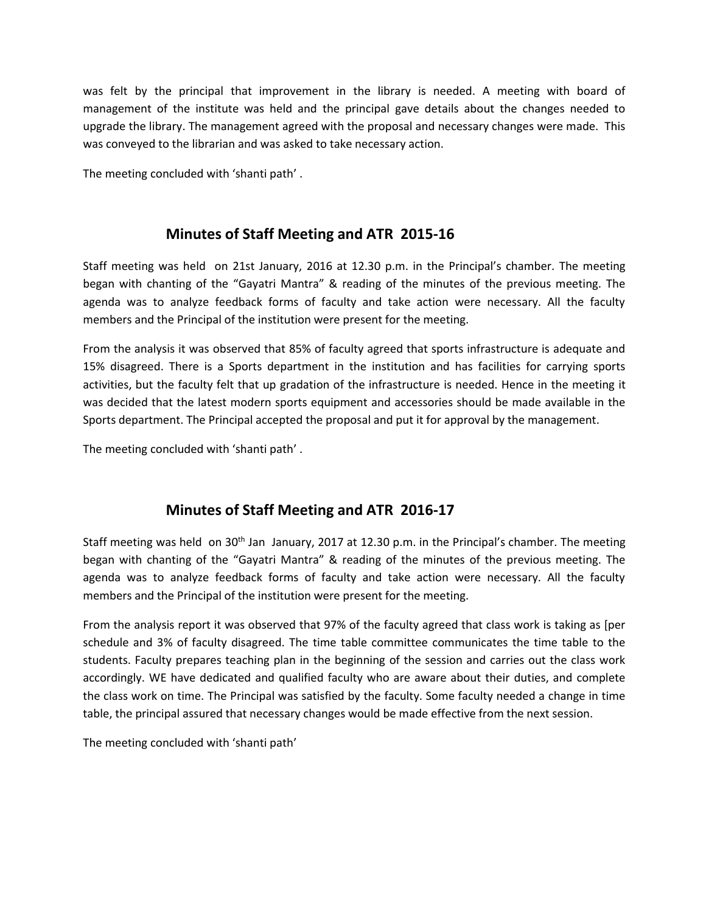was felt by the principal that improvement in the library is needed. A meeting with board of management of the institute was held and the principal gave details about the changes needed to upgrade the library. The management agreed with the proposal and necessary changes were made. This was conveyed to the librarian and was asked to take necessary action.

The meeting concluded with 'shanti path' .

## **Minutes of Staff Meeting and ATR 2015-16**

Staff meeting was held on 21st January, 2016 at 12.30 p.m. in the Principal's chamber. The meeting began with chanting of the "Gayatri Mantra" & reading of the minutes of the previous meeting. The agenda was to analyze feedback forms of faculty and take action were necessary. All the faculty members and the Principal of the institution were present for the meeting.

From the analysis it was observed that 85% of faculty agreed that sports infrastructure is adequate and 15% disagreed. There is a Sports department in the institution and has facilities for carrying sports activities, but the faculty felt that up gradation of the infrastructure is needed. Hence in the meeting it was decided that the latest modern sports equipment and accessories should be made available in the Sports department. The Principal accepted the proposal and put it for approval by the management.

The meeting concluded with 'shanti path' .

## **Minutes of Staff Meeting and ATR 2016-17**

Staff meeting was held on 30<sup>th</sup> Jan January, 2017 at 12.30 p.m. in the Principal's chamber. The meeting began with chanting of the "Gayatri Mantra" & reading of the minutes of the previous meeting. The agenda was to analyze feedback forms of faculty and take action were necessary. All the faculty members and the Principal of the institution were present for the meeting.

From the analysis report it was observed that 97% of the faculty agreed that class work is taking as [per schedule and 3% of faculty disagreed. The time table committee communicates the time table to the students. Faculty prepares teaching plan in the beginning of the session and carries out the class work accordingly. WE have dedicated and qualified faculty who are aware about their duties, and complete the class work on time. The Principal was satisfied by the faculty. Some faculty needed a change in time table, the principal assured that necessary changes would be made effective from the next session.

The meeting concluded with 'shanti path'